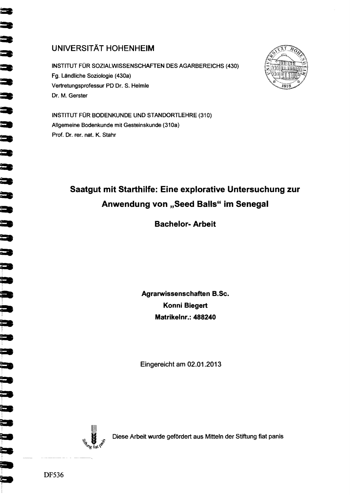## **UNIVERSITÄT HOHENHEIM**

INSTITUT FÜR SOZIALWISSENSCHAFTEN DES AGARBEREICHS (430) Fg. Ländliche Soziologie (430a) Vertretungsprofessur PD Dr. S. Helmle Dr. M. Gerster



INSTITUT FÜR BODENKUNDE UND STANDORTLEHRE (310) Allgemeine Bodenkunde mit Gesteinskunde (310a) Prof. Dr. rer. nat. K. Stahr

## Saatgut mit Starthilfe: Eine explorative Untersuchung zur Anwendung von "Seed Balls" im Senegal

## **Bachelor-Arbeit**

Agrarwissenschaften B.Sc. Konni Biegert Matrikelnr.: 488240

Eingereicht am 02.01.2013



Diese Arbeit wurde gefördert aus Mitteln der Stiftung fiat panis